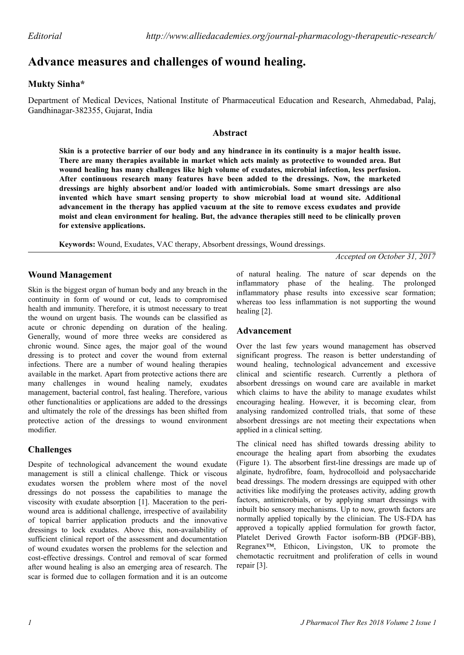# **Advance measures and challenges of wound healing.**

## **Mukty Sinha\***

Department of Medical Devices, National Institute of Pharmaceutical Education and Research, Ahmedabad, Palaj, Gandhinagar-382355, Gujarat, India

#### **Abstract**

**Skin is a protective barrier of our body and any hindrance in its continuity is a major health issue. There are many therapies available in market which acts mainly as protective to wounded area. But wound healing has many challenges like high volume of exudates, microbial infection, less perfusion. After continuous research many features have been added to the dressings. Now, the marketed dressings are highly absorbent and/or loaded with antimicrobials. Some smart dressings are also invented which have smart sensing property to show microbial load at wound site. Additional advancement in the therapy has applied vacuum at the site to remove excess exudates and provide moist and clean environment for healing. But, the advance therapies still need to be clinically proven for extensive applications.**

**Keywords:** Wound, Exudates, VAC therapy, Absorbent dressings, Wound dressings.

*Accepted on October 31, 2017*

#### **Wound Management**

Skin is the biggest organ of human body and any breach in the continuity in form of wound or cut, leads to compromised health and immunity. Therefore, it is utmost necessary to treat the wound on urgent basis. The wounds can be classified as acute or chronic depending on duration of the healing. Generally, wound of more three weeks are considered as chronic wound. Since ages, the major goal of the wound dressing is to protect and cover the wound from external infections. There are a number of wound healing therapies available in the market. Apart from protective actions there are many challenges in wound healing namely, exudates management, bacterial control, fast healing. Therefore, various other functionalities or applications are added to the dressings and ultimately the role of the dressings has been shifted from protective action of the dressings to wound environment modifier.

# **Challenges**

Despite of technological advancement the wound exudate management is still a clinical challenge. Thick or viscous exudates worsen the problem where most of the novel dressings do not possess the capabilities to manage the viscosity with exudate absorption [1]. Maceration to the periwound area is additional challenge, irrespective of availability of topical barrier application products and the innovative dressings to lock exudates. Above this, non-availability of sufficient clinical report of the assessment and documentation of wound exudates worsen the problems for the selection and cost-effective dressings. Control and removal of scar formed after wound healing is also an emerging area of research. The scar is formed due to collagen formation and it is an outcome

of natural healing. The nature of scar depends on the inflammatory phase of the healing. The prolonged inflammatory phase results into excessive scar formation; whereas too less inflammation is not supporting the wound healing [2].

### **Advancement**

Over the last few years wound management has observed significant progress. The reason is better understanding of wound healing, technological advancement and excessive clinical and scientific research. Currently a plethora of absorbent dressings on wound care are available in market which claims to have the ability to manage exudates whilst encouraging healing. However, it is becoming clear, from analysing randomized controlled trials, that some of these absorbent dressings are not meeting their expectations when applied in a clinical setting.

The clinical need has shifted towards dressing ability to encourage the healing apart from absorbing the exudates (Figure 1). The absorbent first-line dressings are made up of alginate, hydrofibre, foam, hydrocolloid and polysaccharide bead dressings. The modern dressings are equipped with other activities like modifying the proteases activity, adding growth factors, antimicrobials, or by applying smart dressings with inbuilt bio sensory mechanisms. Up to now, growth factors are normally applied topically by the clinician. The US-FDA has approved a topically applied formulation for growth factor, Platelet Derived Growth Factor isoform-BB (PDGF-BB), Regranex™, Ethicon, Livingston, UK to promote the chemotactic recruitment and proliferation of cells in wound repair [3].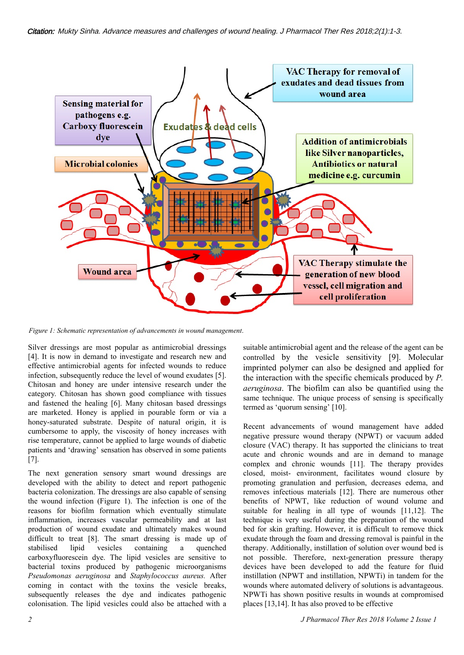

*Figure 1: Schematic representation of advancements in wound management*.

Silver dressings are most popular as antimicrobial dressings [4]. It is now in demand to investigate and research new and effective antimicrobial agents for infected wounds to reduce infection, subsequently reduce the level of wound exudates [5]. Chitosan and honey are under intensive research under the category. Chitosan has shown good compliance with tissues and fastened the healing [6]. Many chitosan based dressings are marketed. Honey is applied in pourable form or via a honey-saturated substrate. Despite of natural origin, it is cumbersome to apply, the viscosity of honey increases with rise temperature, cannot be applied to large wounds of diabetic patients and 'drawing' sensation has observed in some patients [7].

The next generation sensory smart wound dressings are developed with the ability to detect and report pathogenic bacteria colonization. The dressings are also capable of sensing the wound infection (Figure 1). The infection is one of the reasons for biofilm formation which eventually stimulate inflammation, increases vascular permeability and at last production of wound exudate and ultimately makes wound difficult to treat [8]. The smart dressing is made up of stabilised lipid vesicles containing a quenched carboxyfluorescein dye. The lipid vesicles are sensitive to bacterial toxins produced by pathogenic microorganisms *Pseudomonas aeruginosa* and *Staphylococcus aureus.* After coming in contact with the toxins the vesicle breaks, subsequently releases the dye and indicates pathogenic colonisation. The lipid vesicles could also be attached with a

same technique. The unique process of sensing is specifically termed as 'quorum sensing' [10]. Recent advancements of wound management have added negative pressure wound therapy (NPWT) or vacuum added closure (VAC) therapy. It has supported the clinicians to treat

suitable antimicrobial agent and the release of the agent can be controlled by the vesicle sensitivity [9]. Molecular imprinted polymer can also be designed and applied for the interaction with the specific chemicals produced by *P. aeruginosa*. The biofilm can also be quantified using the

acute and chronic wounds and are in demand to manage complex and chronic wounds [11]. The therapy provides closed, moist- environment, facilitates wound closure by promoting granulation and perfusion, decreases edema, and removes infectious materials [12]. There are numerous other benefits of NPWT, like reduction of wound volume and suitable for healing in all type of wounds [11,12]. The technique is very useful during the preparation of the wound bed for skin grafting. However, it is difficult to remove thick exudate through the foam and dressing removal is painful in the therapy. Additionally, instillation of solution over wound bed is not possible. Therefore, next-generation pressure therapy devices have been developed to add the feature for fluid instillation (NPWT and instillation, NPWTi) in tandem for the wounds where automated delivery of solutions is advantageous. NPWTi has shown positive results in wounds at compromised places [13,14]. It has also proved to be effective